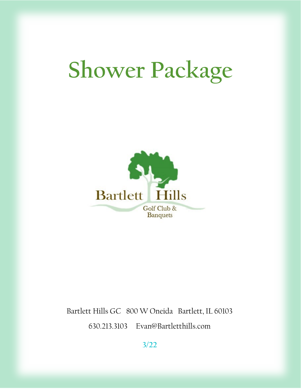# **Shower Package**



Bartlett Hills GC 800 W Oneida Bartlett, IL 60103 630.213.3103 Evan@Bartletthills.com

**3/22**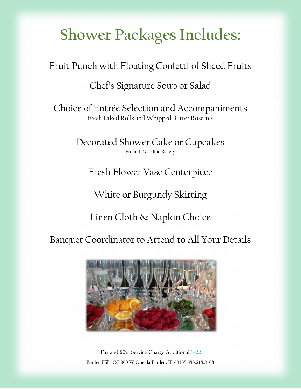# **Shower Packages Includes:**

Fruit Punch with Floating Confetti of Sliced Fruits

Chef's Signature Soup or Salad

Choice of Entrée Selection and Accompaniments Fresh Baked Rolls and Whipped Butter Rosettes

> Decorated Shower Cake or Cupcakes From IL Giardino Bakery

Fresh Flower Vase Centerpiece

White or Burgundy Skirting

Linen Cloth & Napkin Choice

Banquet Coordinator to Attend to All Your Details



Tax and 20% Service Charge Additional 3/22 Bartlett Hills GC 800 W Oneida Bartlett, IL 60103 630.213.3103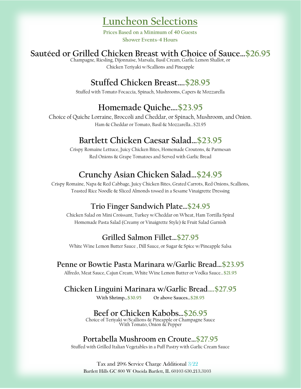# **Luncheon Selections**

**Prices Based on a Minimum of 40 Guests Shower Events-4 Hours**

#### **Sautéed or Grilled Chicken Breast with Choice of Sauce…\$26.95**

Champagne, Riesling, Dijonnaise, Marsala, Basil Cream, Garlic Lemon Shallot, or Chicken Teriyaki w/Scallions and Pineapple

# **Stuffed Chicken Breast….\$28.95**

Stuffed with Tomato Focaccia, Spinach, Mushrooms, Capers & Mozzarella

# **Homemade Quiche….\$23.95**

Choice of Quiche Lorraine, Broccoli and Cheddar, or Spinach, Mushroom, and Onion. Ham & Cheddar or Tomato, Basil & Mozzarella…\$21.95

# **Bartlett Chicken Caesar Salad…\$23.95**

Crispy Romaine Lettuce, Juicy Chicken Bites, Homemade Croutons, & Parmesan Red Onions & Grape Tomatoes and Served with Garlic Bread

# **Crunchy Asian Chicken Salad…\$24.95**

Crispy Romaine, Napa & Red Cabbage, Juicy Chicken Bites, Grated Carrots, Red Onions, Scallions, Toasted Rice Noodle & Sliced Almonds tossed in a Sesame Vinaigrette Dressing

# **Trio Finger Sandwich Plate…\$24.95**

Chicken Salad on Mini Croissant, Turkey w/Cheddar on Wheat, Ham Tortilla Spiral Homemade Pasta Salad (Creamy or Vinaigrette Style) & Fruit Salad Garnish

# **Grilled Salmon Fillet…\$27.95**

White Wine Lemon Butter Sauce , Dill Sauce, or Sugar & Spice w/Pineapple Salsa

#### **Penne or Bowtie Pasta Marinara w/Garlic Bread…\$23.95**

Alfredo, Meat Sauce, Cajun Cream, White Wine Lemon Butter or Vodka Sauce…**\$21.95**

#### **Chicken Linguini Marinara w/Garlic Bread….\$27.95**

**With Shrimp…\$30.95 Or above Sauces…\$28.95**

# **Beef or Chicken Kabobs…\$26.95**

Choice of Teriyaki w/Scallions & Pineapple or Champagne Sauce With Tomato, Onion & Pepper

# **Portabella Mushroom en Croute…\$27.95**

Stuffed with Grilled Italian Vegetables in a Puff Pastry with Garlic Cream Sauce

Tax and 20% Service Charge Additional 3/22 Bartlett Hills GC 800 W Oneida Bartlett, IL 60103 630.213.3103